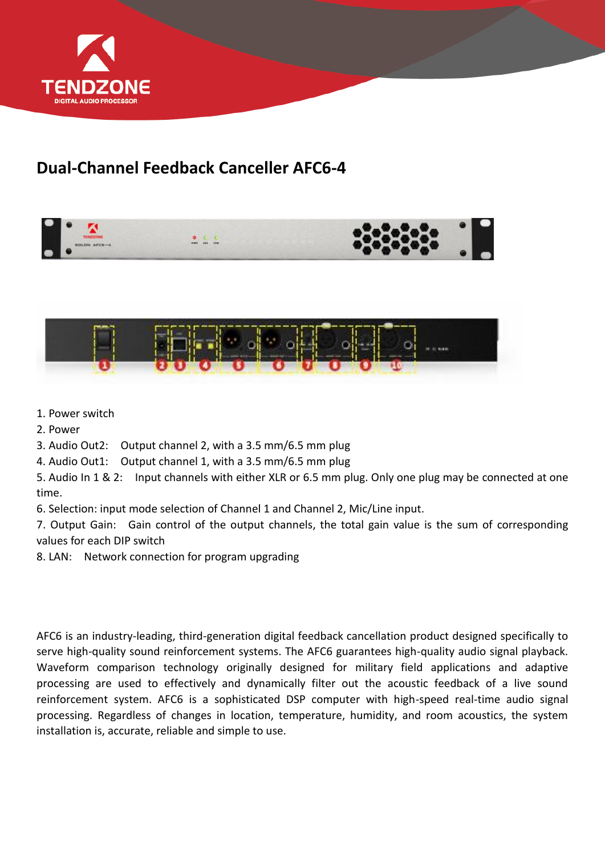

## **Dual-Channel Feedback Canceller AFC6-4**





- 1. Power switch
- 2. Power

3. Audio Out2: Output channel 2, with a 3.5 mm/6.5 mm plug

4. Audio Out1: Output channel 1, with a 3.5 mm/6.5 mm plug

5. Audio In 1 & 2: Input channels with either XLR or 6.5 mm plug. Only one plug may be connected at one time.

6. Selection: input mode selection of Channel 1 and Channel 2, Mic/Line input.

7. Output Gain: Gain control of the output channels, the total gain value is the sum of corresponding values for each DIP switch

8. LAN: Network connection for program upgrading

AFC6 is an industry-leading, third-generation digital feedback cancellation product designed specifically to serve high-quality sound reinforcement systems. The AFC6 guarantees high-quality audio signal playback. Waveform comparison technology originally designed for military field applications and adaptive processing are used to effectively and dynamically filter out the acoustic feedback of a live sound reinforcement system. AFC6 is a sophisticated DSP computer with high-speed real-time audio signal processing. Regardless of changes in location, temperature, humidity, and room acoustics, the system installation is, accurate, reliable and simple to use.